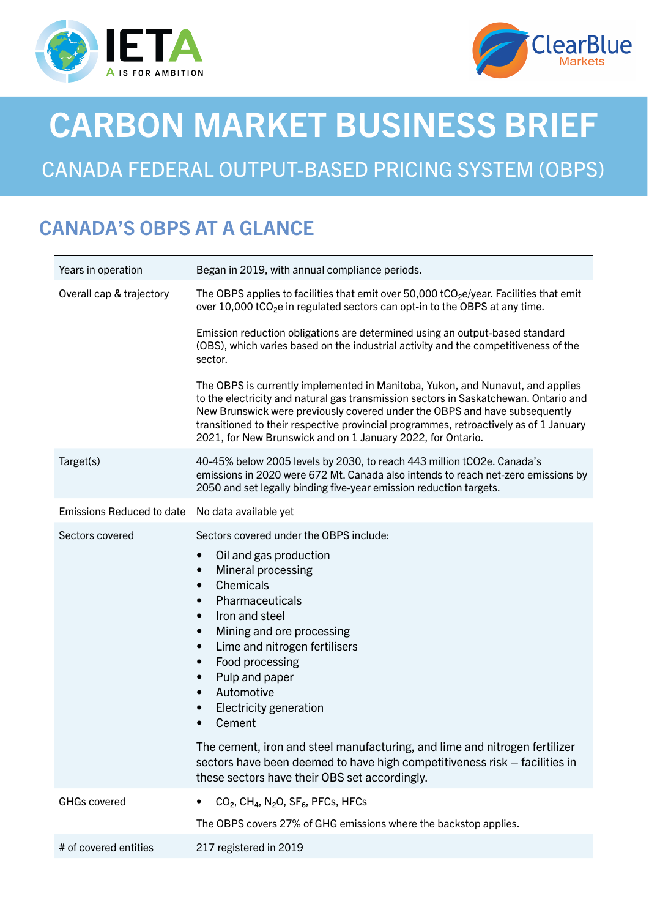



# CARBON MARKET BUSINESS BRIEF

## CANADA FEDERAL OUTPUT-BASED PRICING SYSTEM (OBPS)

### CANADA'S OBPS AT A GLANCE

| Years in operation               | Began in 2019, with annual compliance periods.                                                                                                                                                                                                                                                                                                                                                                                                                                                                 |
|----------------------------------|----------------------------------------------------------------------------------------------------------------------------------------------------------------------------------------------------------------------------------------------------------------------------------------------------------------------------------------------------------------------------------------------------------------------------------------------------------------------------------------------------------------|
| Overall cap & trajectory         | The OBPS applies to facilities that emit over 50,000 tCO <sub>2</sub> e/year. Facilities that emit<br>over 10,000 tCO <sub>2</sub> e in regulated sectors can opt-in to the OBPS at any time.                                                                                                                                                                                                                                                                                                                  |
|                                  | Emission reduction obligations are determined using an output-based standard<br>(OBS), which varies based on the industrial activity and the competitiveness of the<br>sector.                                                                                                                                                                                                                                                                                                                                 |
|                                  | The OBPS is currently implemented in Manitoba, Yukon, and Nunavut, and applies<br>to the electricity and natural gas transmission sectors in Saskatchewan. Ontario and<br>New Brunswick were previously covered under the OBPS and have subsequently<br>transitioned to their respective provincial programmes, retroactively as of 1 January<br>2021, for New Brunswick and on 1 January 2022, for Ontario.                                                                                                   |
| Target(s)                        | 40-45% below 2005 levels by 2030, to reach 443 million tCO2e. Canada's<br>emissions in 2020 were 672 Mt. Canada also intends to reach net-zero emissions by<br>2050 and set legally binding five-year emission reduction targets.                                                                                                                                                                                                                                                                              |
| <b>Emissions Reduced to date</b> | No data available yet                                                                                                                                                                                                                                                                                                                                                                                                                                                                                          |
| Sectors covered                  | Sectors covered under the OBPS include:<br>Oil and gas production<br>$\bullet$<br>Mineral processing<br>$\bullet$<br>Chemicals<br>$\bullet$<br>Pharmaceuticals<br>$\bullet$<br>Iron and steel<br>$\bullet$<br>Mining and ore processing<br>$\bullet$<br>Lime and nitrogen fertilisers<br>$\bullet$<br>Food processing<br>$\bullet$<br>Pulp and paper<br>$\bullet$<br>Automotive<br>Electricity generation<br>Cement<br>$\bullet$<br>The cement, iron and steel manufacturing, and lime and nitrogen fertilizer |
|                                  | sectors have been deemed to have high competitiveness risk – facilities in<br>these sectors have their OBS set accordingly.                                                                                                                                                                                                                                                                                                                                                                                    |
| <b>GHGs covered</b>              | CO <sub>2</sub> , CH <sub>4</sub> , N <sub>2</sub> O, SF <sub>6</sub> , PFCs, HFCs<br>٠                                                                                                                                                                                                                                                                                                                                                                                                                        |
|                                  | The OBPS covers 27% of GHG emissions where the backstop applies.                                                                                                                                                                                                                                                                                                                                                                                                                                               |
| # of covered entities            | 217 registered in 2019                                                                                                                                                                                                                                                                                                                                                                                                                                                                                         |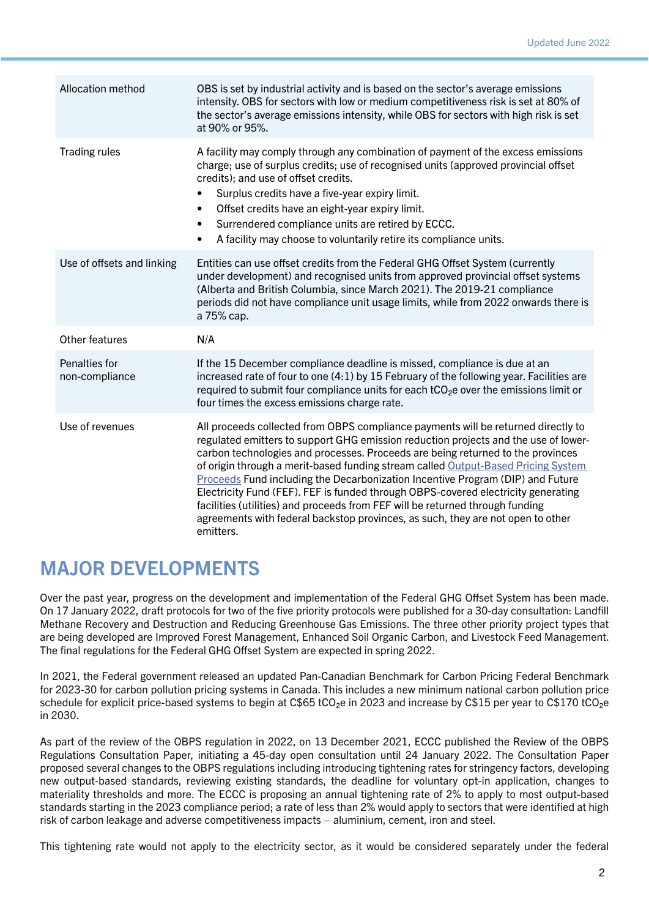| Allocation method               | OBS is set by industrial activity and is based on the sector's average emissions<br>intensity. OBS for sectors with low or medium competitiveness risk is set at 80% of<br>the sector's average emissions intensity, while OBS for sectors with high risk is set<br>at 90% or 95%.                                                                                                                                                                                                                                                                                                                                                                                                                       |
|---------------------------------|----------------------------------------------------------------------------------------------------------------------------------------------------------------------------------------------------------------------------------------------------------------------------------------------------------------------------------------------------------------------------------------------------------------------------------------------------------------------------------------------------------------------------------------------------------------------------------------------------------------------------------------------------------------------------------------------------------|
| <b>Trading rules</b>            | A facility may comply through any combination of payment of the excess emissions<br>charge; use of surplus credits; use of recognised units (approved provincial offset<br>credits); and use of offset credits.<br>Surplus credits have a five-year expiry limit.<br>$\bullet$<br>Offset credits have an eight-year expiry limit.<br>$\bullet$<br>Surrendered compliance units are retired by ECCC.<br>$\bullet$<br>A facility may choose to voluntarily retire its compliance units.<br>$\bullet$                                                                                                                                                                                                       |
| Use of offsets and linking      | Entities can use offset credits from the Federal GHG Offset System (currently<br>under development) and recognised units from approved provincial offset systems<br>(Alberta and British Columbia, since March 2021). The 2019-21 compliance<br>periods did not have compliance unit usage limits, while from 2022 onwards there is<br>a 75% cap.                                                                                                                                                                                                                                                                                                                                                        |
| Other features                  | N/A                                                                                                                                                                                                                                                                                                                                                                                                                                                                                                                                                                                                                                                                                                      |
| Penalties for<br>non-compliance | If the 15 December compliance deadline is missed, compliance is due at an<br>increased rate of four to one (4:1) by 15 February of the following year. Facilities are<br>required to submit four compliance units for each $tCO2e$ over the emissions limit or<br>four times the excess emissions charge rate.                                                                                                                                                                                                                                                                                                                                                                                           |
| Use of revenues                 | All proceeds collected from OBPS compliance payments will be returned directly to<br>regulated emitters to support GHG emission reduction projects and the use of lower-<br>carbon technologies and processes. Proceeds are being returned to the provinces<br>of origin through a merit-based funding stream called Output-Based Pricing System<br>Proceeds Fund including the Decarbonization Incentive Program (DIP) and Future<br>Electricity Fund (FEF). FEF is funded through OBPS-covered electricity generating<br>facilities (utilities) and proceeds from FEF will be returned through funding<br>agreements with federal backstop provinces, as such, they are not open to other<br>emitters. |

#### MAJOR DEVELOPMENTS

Over the past year, progress on the development and implementation of the Federal GHG Offset System has been made. On 17 January 2022, draft protocols for two of the five priority protocols were published for a 30-day consultation: Landfill Methane Recovery and Destruction and Reducing Greenhouse Gas Emissions. The three other priority project types that are being developed are Improved Forest Management, Enhanced Soil Organic Carbon, and Livestock Feed Management. The final regulations for the Federal GHG Offset System are expected in spring 2022.

In 2021, the Federal government released an updated Pan-Canadian Benchmark for Carbon Pricing Federal Benchmark for 2023-30 for carbon pollution pricing systems in Canada. This includes a new minimum national carbon pollution price schedule for explicit price-based systems to begin at C\$65 tCO<sub>2</sub>e in 2023 and increase by C\$15 per year to C\$170 tCO<sub>2</sub>e in 2030.

As part of the review of the OBPS regulation in 2022, on 13 December 2021, ECCC published the Review of the OBPS Regulations Consultation Paper, initiating a 45-day open consultation until 24 January 2022. The Consultation Paper proposed several changes to the OBPS regulations including introducing tightening rates for stringency factors, developing new output-based standards, reviewing existing standards, the deadline for voluntary opt-in application, changes to materiality thresholds and more. The ECCC is proposing an annual tightening rate of 2% to apply to most output-based standards starting in the 2023 compliance period; a rate of less than 2% would apply to sectors that were identified at high risk of carbon leakage and adverse competitiveness impacts – aluminium, cement, iron and steel.

This tightening rate would not apply to the electricity sector, as it would be considered separately under the federal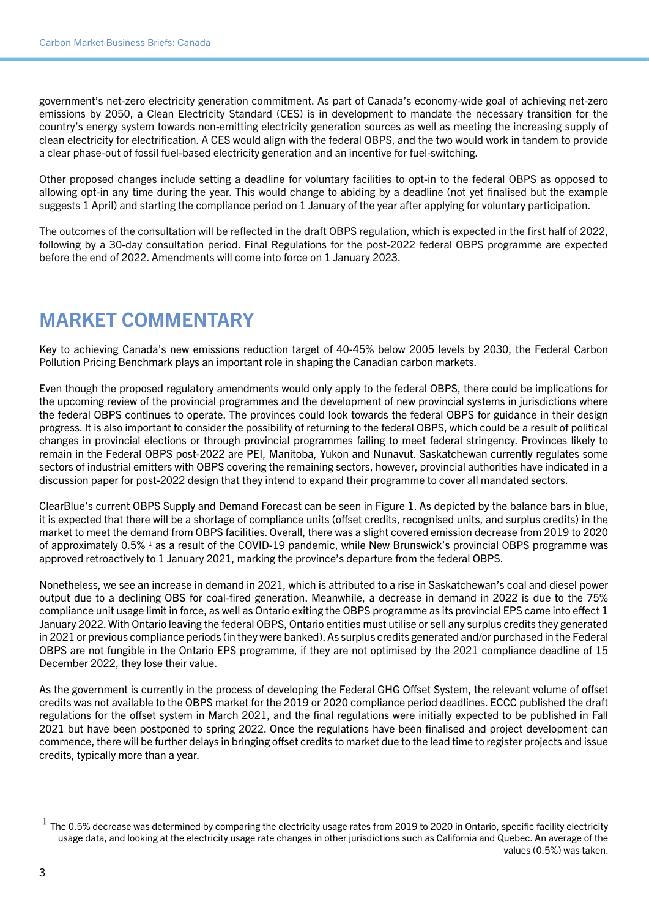government's net-zero electricity generation commitment. As part of Canada's economy-wide goal of achieving net-zero emissions by 2050, a Clean Electricity Standard (CES) is in development to mandate the necessary transition for the country's energy system towards non-emitting electricity generation sources as well as meeting the increasing supply of clean electricity for electrification. A CES would align with the federal OBPS, and the two would work in tandem to provide a clear phase-out of fossil fuel-based electricity generation and an incentive for fuel-switching.

Other proposed changes include setting a deadline for voluntary facilities to opt-in to the federal OBPS as opposed to allowing opt-in any time during the year. This would change to abiding by a deadline (not yet finalised but the example suggests 1 April) and starting the compliance period on 1 January of the year after applying for voluntary participation.

The outcomes of the consultation will be reflected in the draft OBPS regulation, which is expected in the first half of 2022, following by a 30-day consultation period. Final Regulations for the post-2022 federal OBPS programme are expected before the end of 2022. Amendments will come into force on 1 January 2023.

### MARKET COMMENTARY

Key to achieving Canada's new emissions reduction target of 40-45% below 2005 levels by 2030, the Federal Carbon Pollution Pricing Benchmark plays an important role in shaping the Canadian carbon markets.

Even though the proposed regulatory amendments would only apply to the federal OBPS, there could be implications for the upcoming review of the provincial programmes and the development of new provincial systems in jurisdictions where the federal OBPS continues to operate. The provinces could look towards the federal OBPS for guidance in their design progress. It is also important to consider the possibility of returning to the federal OBPS, which could be a result of political changes in provincial elections or through provincial programmes failing to meet federal stringency. Provinces likely to remain in the Federal OBPS post-2022 are PEI, Manitoba, Yukon and Nunavut. Saskatchewan currently regulates some sectors of industrial emitters with OBPS covering the remaining sectors, however, provincial authorities have indicated in a discussion paper for post-2022 design that they intend to expand their programme to cover all mandated sectors.

ClearBlue's current OBPS Supply and Demand Forecast can be seen in Figure 1. As depicted by the balance bars in blue, it is expected that there will be a shortage of compliance units (offset credits, recognised units, and surplus credits) in the market to meet the demand from OBPS facilities. Overall, there was a slight covered emission decrease from 2019 to 2020 of approximately 0.5% <sup>1</sup> as a result of the COVID-19 pandemic, while New Brunswick's provincial OBPS programme was approved retroactively to 1 January 2021, marking the province's departure from the federal OBPS.

Nonetheless, we see an increase in demand in 2021, which is attributed to a rise in Saskatchewan's coal and diesel power output due to a declining OBS for coal-fired generation. Meanwhile, a decrease in demand in 2022 is due to the 75% compliance unit usage limit in force, as well as Ontario exiting the OBPS programme as its provincial EPS came into effect 1 January 2022. With Ontario leaving the federal OBPS, Ontario entities must utilise or sell any surplus credits they generated in 2021 or previous compliance periods (in they were banked). As surplus credits generated and/or purchased in the Federal OBPS are not fungible in the Ontario EPS programme, if they are not optimised by the 2021 compliance deadline of 15 December 2022, they lose their value.

As the government is currently in the process of developing the Federal GHG Offset System, the relevant volume of offset credits was not available to the OBPS market for the 2019 or 2020 compliance period deadlines. ECCC published the draft regulations for the offset system in March 2021, and the final regulations were initially expected to be published in Fall 2021 but have been postponed to spring 2022. Once the regulations have been finalised and project development can commence, there will be further delays in bringing offset credits to market due to the lead time to register projects and issue credits, typically more than a year.

 $1$  The 0.5% decrease was determined by comparing the electricity usage rates from 2019 to 2020 in Ontario, specific facility electricity usage data, and looking at the electricity usage rate changes in other jurisdictions such as California and Quebec. An average of the values (0.5%) was taken.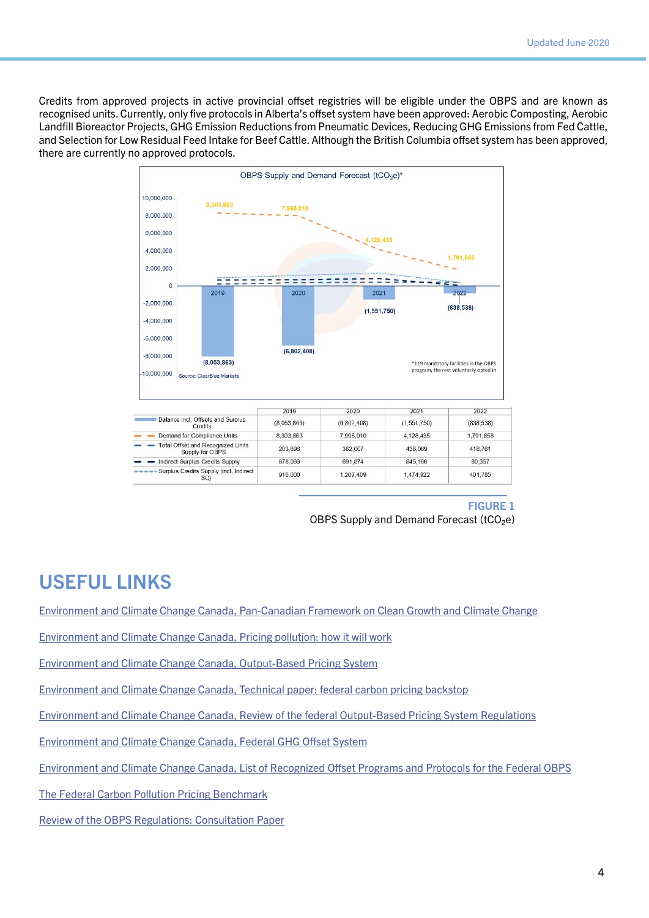Credits from approved projects in active provincial offset registries will be eligible under the OBPS and are known as recognised units. Currently, only five protocols in Alberta's offset system have been approved: Aerobic Composting, Aerobic Landfill Bioreactor Projects, GHG Emission Reductions from Pneumatic Devices, Reducing GHG Emissions from Fed Cattle, and Selection for Low Residual Feed Intake for Beef Cattle. Although the British Columbia offset system has been approved, there are currently no approved protocols.



#### FIGURE 1 OBPS Supply and Demand Forecast (tCO<sub>2</sub>e)

#### USEFUL LINKS

[Environment and Climate Change Canada, Pan-Canadian Framework on Clean Growth and Climate Change](http://www.canada.ca/en/services/environment/weather/climatechange/pan-Canadian-framework.html)

[Environment and Climate Change Canada, Pricing pollution: how it will work](http://www.canada.ca/en/environment-climate-change/services/climate-change/pricing-pollution-how-it-will-work.html)

[Environment and Climate Change Canada, Output-Based Pricing System](http://www.canada.ca/en/environment-climate-change/services/climate-change/pricing-pollution-how-it-will-work/output-based-pricing-system.html)

[Environment and Climate Change Canada, Technical paper: federal carbon pricing backstop](http://www.canada.ca/en/services/environment/weather/climatechange/technical-paper-federal-carbon-pricing-backstop.html)

[Environment and Climate Change Canada, Review of the federal Output-Based Pricing System Regulations](https://www.canada.ca/en/environment-climate-change/services/climate-change/pricing-pollution-how-it-will-work/output-based-pricing-system/review.html)

[Environment and Climate Change Canada, Federal GHG Offset System](https://www.canada.ca/en/environment-climate-change/services/climate-change/pricing-pollution-how-it-will-work/output-based-pricing-system/federal-greenhouse-gas-offset-system.html)

[Environment and Climate Change Canada, List of Recognized Offset Programs and Protocols for the Federal OBPS](https://www.canada.ca/en/environment-climate-change/services/climate-change/pricing-pollution-how-it-will-work/output-based-pricing-system/list-recognized-offset-programs-protocols.html)

[The Federal Carbon Pollution Pricing Benchmark](https://www.canada.ca/en/environment-climate-change/services/climate-change/pricing-pollution-how-it-will-work/carbon-pollution-pricing-federal-benchmark-information.html)

[Review of the OBPS Regulations: Consultation Paper](https://www.canada.ca/en/environment-climate-change/services/climate-change/pricing-pollution-how-it-will-work/output-based-pricing-system/2022-review-consultation.html)